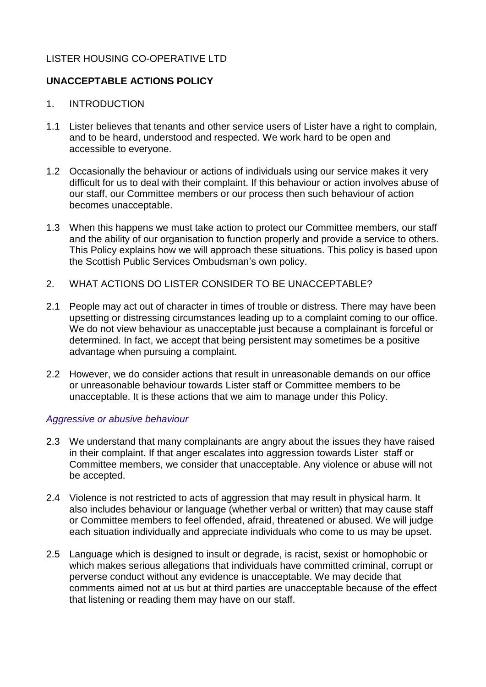# LISTER HOUSING CO-OPERATIVE LTD

# **UNACCEPTABLE ACTIONS POLICY**

- 1. INTRODUCTION
- 1.1 Lister believes that tenants and other service users of Lister have a right to complain, and to be heard, understood and respected. We work hard to be open and accessible to everyone.
- 1.2 Occasionally the behaviour or actions of individuals using our service makes it very difficult for us to deal with their complaint. If this behaviour or action involves abuse of our staff, our Committee members or our process then such behaviour of action becomes unacceptable.
- 1.3 When this happens we must take action to protect our Committee members, our staff and the ability of our organisation to function properly and provide a service to others. This Policy explains how we will approach these situations. This policy is based upon the Scottish Public Services Ombudsman's own policy.
- 2. WHAT ACTIONS DO LISTER CONSIDER TO BE UNACCEPTABLE?
- 2.1 People may act out of character in times of trouble or distress. There may have been upsetting or distressing circumstances leading up to a complaint coming to our office. We do not view behaviour as unacceptable just because a complainant is forceful or determined. In fact, we accept that being persistent may sometimes be a positive advantage when pursuing a complaint.
- 2.2 However, we do consider actions that result in unreasonable demands on our office or unreasonable behaviour towards Lister staff or Committee members to be unacceptable. It is these actions that we aim to manage under this Policy.

### *Aggressive or abusive behaviour*

- 2.3 We understand that many complainants are angry about the issues they have raised in their complaint. If that anger escalates into aggression towards Lister staff or Committee members, we consider that unacceptable. Any violence or abuse will not be accepted.
- 2.4 Violence is not restricted to acts of aggression that may result in physical harm. It also includes behaviour or language (whether verbal or written) that may cause staff or Committee members to feel offended, afraid, threatened or abused. We will judge each situation individually and appreciate individuals who come to us may be upset.
- 2.5 Language which is designed to insult or degrade, is racist, sexist or homophobic or which makes serious allegations that individuals have committed criminal, corrupt or perverse conduct without any evidence is unacceptable. We may decide that comments aimed not at us but at third parties are unacceptable because of the effect that listening or reading them may have on our staff.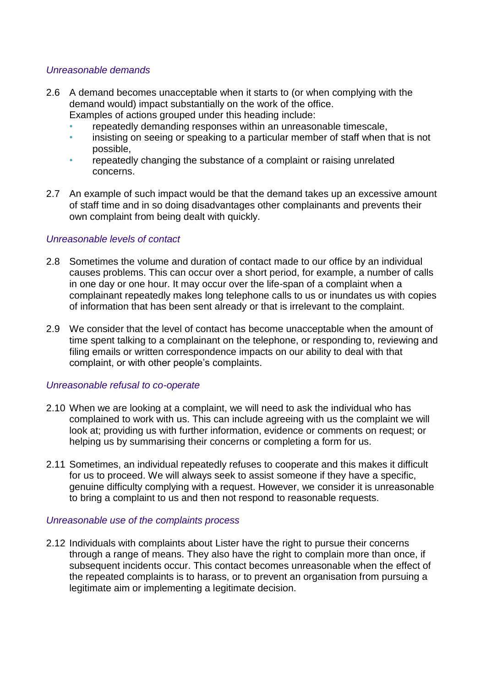### *Unreasonable demands*

- 2.6 A demand becomes unacceptable when it starts to (or when complying with the demand would) impact substantially on the work of the office.
	- Examples of actions grouped under this heading include:
	- repeatedly demanding responses within an unreasonable timescale,
	- insisting on seeing or speaking to a particular member of staff when that is not possible,
	- repeatedly changing the substance of a complaint or raising unrelated concerns.
- 2.7 An example of such impact would be that the demand takes up an excessive amount of staff time and in so doing disadvantages other complainants and prevents their own complaint from being dealt with quickly.

## *Unreasonable levels of contact*

- 2.8 Sometimes the volume and duration of contact made to our office by an individual causes problems. This can occur over a short period, for example, a number of calls in one day or one hour. It may occur over the life-span of a complaint when a complainant repeatedly makes long telephone calls to us or inundates us with copies of information that has been sent already or that is irrelevant to the complaint.
- 2.9 We consider that the level of contact has become unacceptable when the amount of time spent talking to a complainant on the telephone, or responding to, reviewing and filing emails or written correspondence impacts on our ability to deal with that complaint, or with other people's complaints.

### *Unreasonable refusal to co-operate*

- 2.10 When we are looking at a complaint, we will need to ask the individual who has complained to work with us. This can include agreeing with us the complaint we will look at; providing us with further information, evidence or comments on request; or helping us by summarising their concerns or completing a form for us.
- 2.11 Sometimes, an individual repeatedly refuses to cooperate and this makes it difficult for us to proceed. We will always seek to assist someone if they have a specific, genuine difficulty complying with a request. However, we consider it is unreasonable to bring a complaint to us and then not respond to reasonable requests.

### *Unreasonable use of the complaints process*

2.12 Individuals with complaints about Lister have the right to pursue their concerns through a range of means. They also have the right to complain more than once, if subsequent incidents occur. This contact becomes unreasonable when the effect of the repeated complaints is to harass, or to prevent an organisation from pursuing a legitimate aim or implementing a legitimate decision.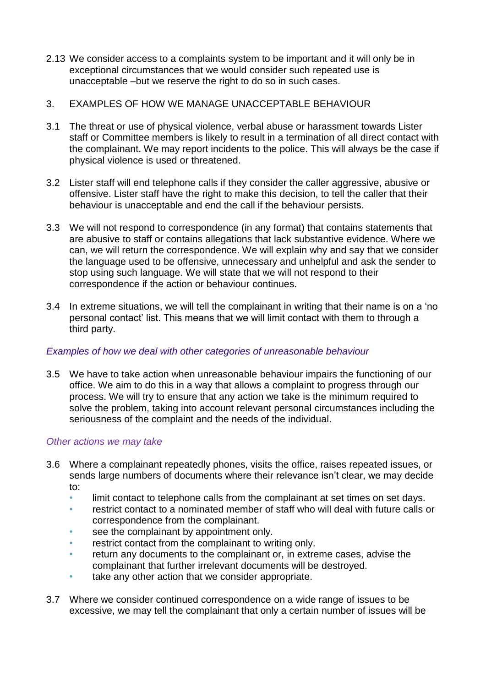- 2.13 We consider access to a complaints system to be important and it will only be in exceptional circumstances that we would consider such repeated use is unacceptable –but we reserve the right to do so in such cases.
- 3. EXAMPLES OF HOW WE MANAGE UNACCEPTABLE BEHAVIOUR
- 3.1 The threat or use of physical violence, verbal abuse or harassment towards Lister staff or Committee members is likely to result in a termination of all direct contact with the complainant. We may report incidents to the police. This will always be the case if physical violence is used or threatened.
- 3.2 Lister staff will end telephone calls if they consider the caller aggressive, abusive or offensive. Lister staff have the right to make this decision, to tell the caller that their behaviour is unacceptable and end the call if the behaviour persists.
- 3.3 We will not respond to correspondence (in any format) that contains statements that are abusive to staff or contains allegations that lack substantive evidence. Where we can, we will return the correspondence. We will explain why and say that we consider the language used to be offensive, unnecessary and unhelpful and ask the sender to stop using such language. We will state that we will not respond to their correspondence if the action or behaviour continues.
- 3.4 In extreme situations, we will tell the complainant in writing that their name is on a 'no personal contact' list. This means that we will limit contact with them to through a third party.

## *Examples of how we deal with other categories of unreasonable behaviour*

3.5 We have to take action when unreasonable behaviour impairs the functioning of our office. We aim to do this in a way that allows a complaint to progress through our process. We will try to ensure that any action we take is the minimum required to solve the problem, taking into account relevant personal circumstances including the seriousness of the complaint and the needs of the individual.

### *Other actions we may take*

- 3.6 Where a complainant repeatedly phones, visits the office, raises repeated issues, or sends large numbers of documents where their relevance isn't clear, we may decide to:
	- limit contact to telephone calls from the complainant at set times on set days.
	- restrict contact to a nominated member of staff who will deal with future calls or correspondence from the complainant.
	- see the complainant by appointment only.
	- restrict contact from the complainant to writing only.
	- return any documents to the complainant or, in extreme cases, advise the complainant that further irrelevant documents will be destroyed.
	- take any other action that we consider appropriate.
- 3.7 Where we consider continued correspondence on a wide range of issues to be excessive, we may tell the complainant that only a certain number of issues will be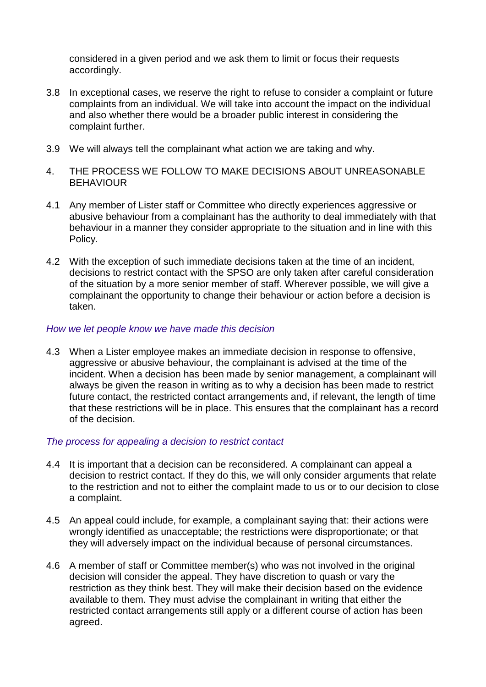considered in a given period and we ask them to limit or focus their requests accordingly.

- 3.8 In exceptional cases, we reserve the right to refuse to consider a complaint or future complaints from an individual. We will take into account the impact on the individual and also whether there would be a broader public interest in considering the complaint further.
- 3.9 We will always tell the complainant what action we are taking and why.
- 4. THE PROCESS WE FOLLOW TO MAKE DECISIONS ABOUT UNREASONABLE **BEHAVIOUR**
- 4.1 Any member of Lister staff or Committee who directly experiences aggressive or abusive behaviour from a complainant has the authority to deal immediately with that behaviour in a manner they consider appropriate to the situation and in line with this Policy.
- 4.2 With the exception of such immediate decisions taken at the time of an incident, decisions to restrict contact with the SPSO are only taken after careful consideration of the situation by a more senior member of staff. Wherever possible, we will give a complainant the opportunity to change their behaviour or action before a decision is taken.

#### *How we let people know we have made this decision*

4.3 When a Lister employee makes an immediate decision in response to offensive, aggressive or abusive behaviour, the complainant is advised at the time of the incident. When a decision has been made by senior management, a complainant will always be given the reason in writing as to why a decision has been made to restrict future contact, the restricted contact arrangements and, if relevant, the length of time that these restrictions will be in place. This ensures that the complainant has a record of the decision.

### *The process for appealing a decision to restrict contact*

- 4.4 It is important that a decision can be reconsidered. A complainant can appeal a decision to restrict contact. If they do this, we will only consider arguments that relate to the restriction and not to either the complaint made to us or to our decision to close a complaint.
- 4.5 An appeal could include, for example, a complainant saying that: their actions were wrongly identified as unacceptable; the restrictions were disproportionate; or that they will adversely impact on the individual because of personal circumstances.
- 4.6 A member of staff or Committee member(s) who was not involved in the original decision will consider the appeal. They have discretion to quash or vary the restriction as they think best. They will make their decision based on the evidence available to them. They must advise the complainant in writing that either the restricted contact arrangements still apply or a different course of action has been agreed.